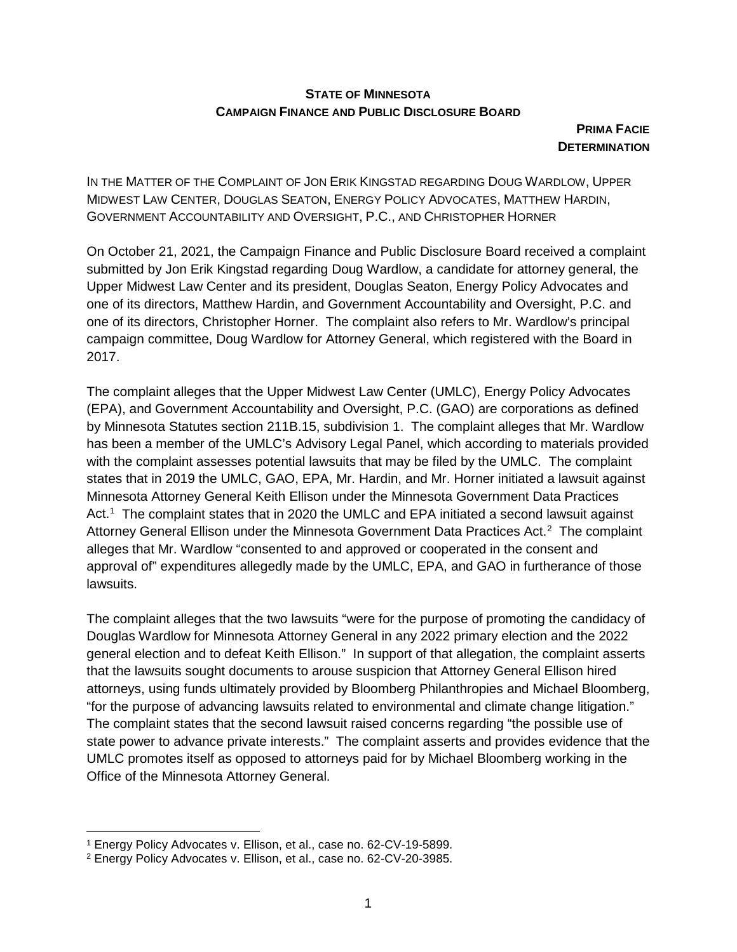## **STATE OF MINNESOTA CAMPAIGN FINANCE AND PUBLIC DISCLOSURE BOARD**

**PRIMA FACIE DETERMINATION** 

IN THE MATTER OF THE COMPLAINT OF JON ERIK KINGSTAD REGARDING DOUG WARDLOW, UPPER MIDWEST LAW CENTER, DOUGLAS SEATON, ENERGY POLICY ADVOCATES, MATTHEW HARDIN, GOVERNMENT ACCOUNTABILITY AND OVERSIGHT, P.C., AND CHRISTOPHER HORNER

On October 21, 2021, the Campaign Finance and Public Disclosure Board received a complaint submitted by Jon Erik Kingstad regarding Doug Wardlow, a candidate for attorney general, the Upper Midwest Law Center and its president, Douglas Seaton, Energy Policy Advocates and one of its directors, Matthew Hardin, and Government Accountability and Oversight, P.C. and one of its directors, Christopher Horner. The complaint also refers to Mr. Wardlow's principal campaign committee, Doug Wardlow for Attorney General, which registered with the Board in 2017.

The complaint alleges that the Upper Midwest Law Center (UMLC), Energy Policy Advocates (EPA), and Government Accountability and Oversight, P.C. (GAO) are corporations as defined by Minnesota Statutes section 211B.15, subdivision 1. The complaint alleges that Mr. Wardlow has been a member of the UMLC's Advisory Legal Panel, which according to materials provided with the complaint assesses potential lawsuits that may be filed by the UMLC. The complaint states that in 2019 the UMLC, GAO, EPA, Mr. Hardin, and Mr. Horner initiated a lawsuit against Minnesota Attorney General Keith Ellison under the Minnesota Government Data Practices Act.<sup>1</sup> The complaint states that in 2020 the UMLC and EPA initiated a second lawsuit against Attorney General Ellison under the Minnesota Government Data Practices Act.<sup>[2](#page-0-1)</sup> The complaint alleges that Mr. Wardlow "consented to and approved or cooperated in the consent and approval of" expenditures allegedly made by the UMLC, EPA, and GAO in furtherance of those lawsuits.

The complaint alleges that the two lawsuits "were for the purpose of promoting the candidacy of Douglas Wardlow for Minnesota Attorney General in any 2022 primary election and the 2022 general election and to defeat Keith Ellison." In support of that allegation, the complaint asserts that the lawsuits sought documents to arouse suspicion that Attorney General Ellison hired attorneys, using funds ultimately provided by Bloomberg Philanthropies and Michael Bloomberg, "for the purpose of advancing lawsuits related to environmental and climate change litigation." The complaint states that the second lawsuit raised concerns regarding "the possible use of state power to advance private interests." The complaint asserts and provides evidence that the UMLC promotes itself as opposed to attorneys paid for by Michael Bloomberg working in the Office of the Minnesota Attorney General.

<span id="page-0-0"></span> <sup>1</sup> Energy Policy Advocates v. Ellison, et al., case no. 62-CV-19-5899.

<span id="page-0-1"></span><sup>2</sup> Energy Policy Advocates v. Ellison, et al., case no. 62-CV-20-3985.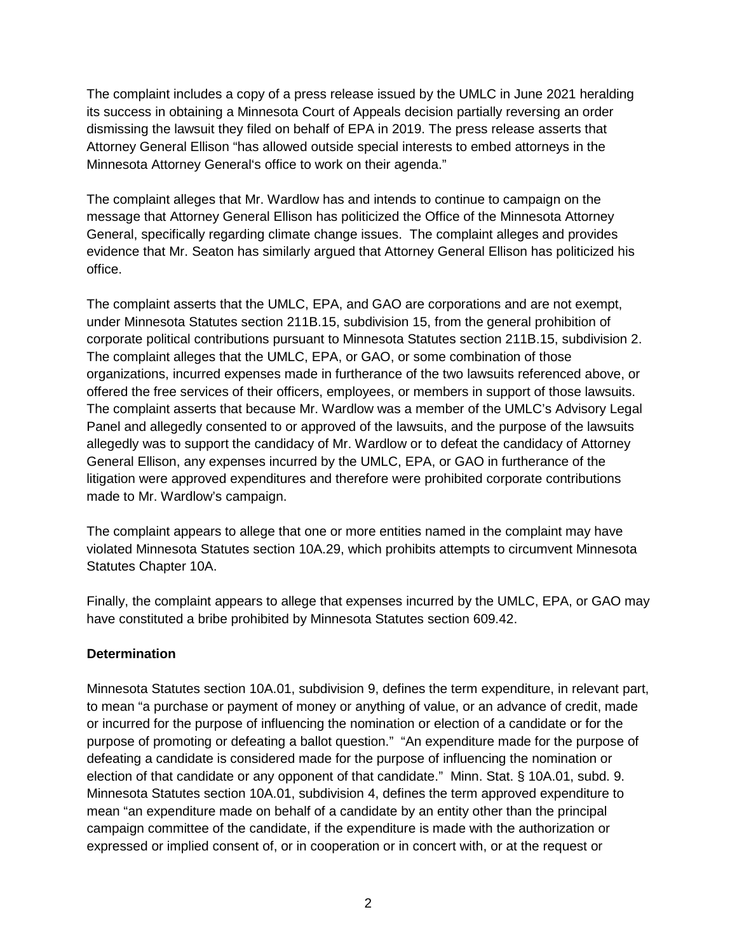The complaint includes a copy of a press release issued by the UMLC in June 2021 heralding its success in obtaining a Minnesota Court of Appeals decision partially reversing an order dismissing the lawsuit they filed on behalf of EPA in 2019. The press release asserts that Attorney General Ellison "has allowed outside special interests to embed attorneys in the Minnesota Attorney General's office to work on their agenda."

The complaint alleges that Mr. Wardlow has and intends to continue to campaign on the message that Attorney General Ellison has politicized the Office of the Minnesota Attorney General, specifically regarding climate change issues. The complaint alleges and provides evidence that Mr. Seaton has similarly argued that Attorney General Ellison has politicized his office.

The complaint asserts that the UMLC, EPA, and GAO are corporations and are not exempt, under Minnesota Statutes section 211B.15, subdivision 15, from the general prohibition of corporate political contributions pursuant to Minnesota Statutes section 211B.15, subdivision 2. The complaint alleges that the UMLC, EPA, or GAO, or some combination of those organizations, incurred expenses made in furtherance of the two lawsuits referenced above, or offered the free services of their officers, employees, or members in support of those lawsuits. The complaint asserts that because Mr. Wardlow was a member of the UMLC's Advisory Legal Panel and allegedly consented to or approved of the lawsuits, and the purpose of the lawsuits allegedly was to support the candidacy of Mr. Wardlow or to defeat the candidacy of Attorney General Ellison, any expenses incurred by the UMLC, EPA, or GAO in furtherance of the litigation were approved expenditures and therefore were prohibited corporate contributions made to Mr. Wardlow's campaign.

The complaint appears to allege that one or more entities named in the complaint may have violated Minnesota Statutes section 10A.29, which prohibits attempts to circumvent Minnesota Statutes Chapter 10A.

Finally, the complaint appears to allege that expenses incurred by the UMLC, EPA, or GAO may have constituted a bribe prohibited by Minnesota Statutes section 609.42.

## **Determination**

Minnesota Statutes section 10A.01, subdivision 9, defines the term expenditure, in relevant part, to mean "a purchase or payment of money or anything of value, or an advance of credit, made or incurred for the purpose of influencing the nomination or election of a candidate or for the purpose of promoting or defeating a ballot question." "An expenditure made for the purpose of defeating a candidate is considered made for the purpose of influencing the nomination or election of that candidate or any opponent of that candidate." Minn. Stat. § 10A.01, subd. 9. Minnesota Statutes section 10A.01, subdivision 4, defines the term approved expenditure to mean "an expenditure made on behalf of a candidate by an entity other than the principal campaign committee of the candidate, if the expenditure is made with the authorization or expressed or implied consent of, or in cooperation or in concert with, or at the request or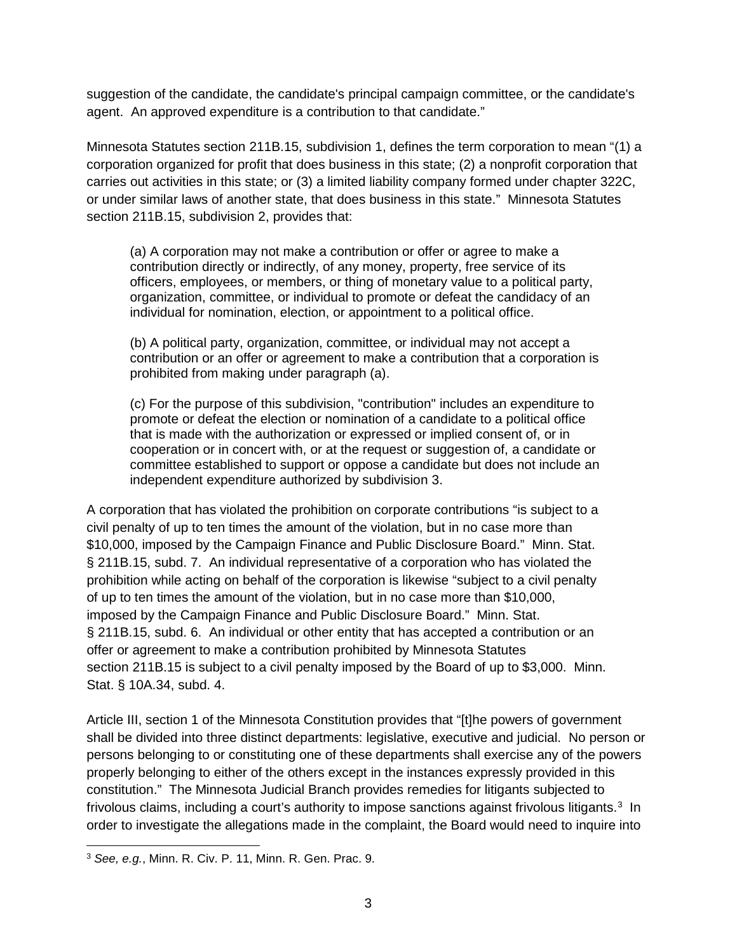suggestion of the candidate, the candidate's principal campaign committee, or the candidate's agent. An approved expenditure is a contribution to that candidate."

Minnesota Statutes section 211B.15, subdivision 1, defines the term corporation to mean "(1) a corporation organized for profit that does business in this state; (2) a nonprofit corporation that carries out activities in this state; or (3) a limited liability company formed under chapter 322C, or under similar laws of another state, that does business in this state." Minnesota Statutes section 211B.15, subdivision 2, provides that:

(a) A corporation may not make a contribution or offer or agree to make a contribution directly or indirectly, of any money, property, free service of its officers, employees, or members, or thing of monetary value to a political party, organization, committee, or individual to promote or defeat the candidacy of an individual for nomination, election, or appointment to a political office.

(b) A political party, organization, committee, or individual may not accept a contribution or an offer or agreement to make a contribution that a corporation is prohibited from making under paragraph (a).

(c) For the purpose of this subdivision, "contribution" includes an expenditure to promote or defeat the election or nomination of a candidate to a political office that is made with the authorization or expressed or implied consent of, or in cooperation or in concert with, or at the request or suggestion of, a candidate or committee established to support or oppose a candidate but does not include an independent expenditure authorized by subdivision 3.

A corporation that has violated the prohibition on corporate contributions "is subject to a civil penalty of up to ten times the amount of the violation, but in no case more than \$10,000, imposed by the Campaign Finance and Public Disclosure Board." Minn. Stat. § 211B.15, subd. 7. An individual representative of a corporation who has violated the prohibition while acting on behalf of the corporation is likewise "subject to a civil penalty of up to ten times the amount of the violation, but in no case more than \$10,000, imposed by the Campaign Finance and Public Disclosure Board." Minn. Stat. § 211B.15, subd. 6. An individual or other entity that has accepted a contribution or an offer or agreement to make a contribution prohibited by Minnesota Statutes section 211B.15 is subject to a civil penalty imposed by the Board of up to \$3,000. Minn. Stat. § 10A.34, subd. 4.

Article III, section 1 of the Minnesota Constitution provides that "[t]he powers of government shall be divided into three distinct departments: legislative, executive and judicial. No person or persons belonging to or constituting one of these departments shall exercise any of the powers properly belonging to either of the others except in the instances expressly provided in this constitution." The Minnesota Judicial Branch provides remedies for litigants subjected to frivolous claims, including a court's authority to impose sanctions against frivolous litigants.<sup>[3](#page-2-0)</sup> In order to investigate the allegations made in the complaint, the Board would need to inquire into

<span id="page-2-0"></span> <sup>3</sup> *See, e.g.*, Minn. R. Civ. P. 11, Minn. R. Gen. Prac. 9.